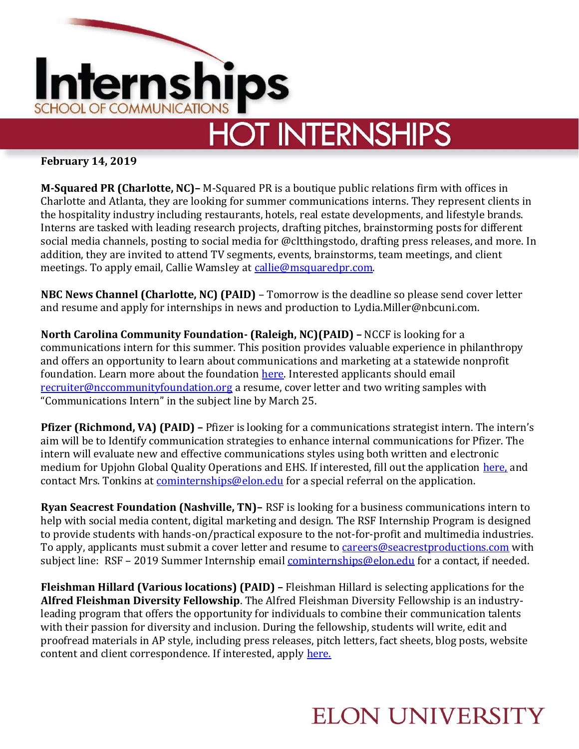

## **HOT INTERNSHIPS**

**February 14, 2019**

**M-Squared PR (Charlotte, NC)–** M-Squared PR is a boutique public relations firm with offices in Charlotte and Atlanta, they are looking for summer communications interns. They represent clients in the hospitality industry including restaurants, hotels, real estate developments, and lifestyle brands. Interns are tasked with leading research projects, drafting pitches, brainstorming posts for different social media channels, posting to social media for @cltthingstodo, drafting press releases, and more. In addition, they are invited to attend TV segments, events, brainstorms, team meetings, and client meetings. To apply email, Callie Wamsley at [callie@msquaredpr.com.](mailto:callie@msquaredpr.com)

**NBC News Channel (Charlotte, NC) (PAID)** – Tomorrow is the deadline so please send cover letter and resume and apply for internships in news and production to Lydia.Miller@nbcuni.com.

**North Carolina Community Foundation- (Raleigh, NC)(PAID) –** NCCF is looking for a communications intern for this summer. This position provides valuable experience in philanthropy and offers an opportunity to learn about communications and marketing at a statewide nonprofit foundation. Learn more about the foundation [here.](http://nccommunityfoundation.org/) Interested applicants should email [recruiter@nccommunityfoundation.org](mailto:recruiter@nccommunityfoundation.org) a resume, cover letter and two writing samples with "Communications Intern" in the subject line by March 25.

**Pfizer (Richmond, VA) (PAID) –** Pfizer is looking for a communications strategist intern. The intern's aim will be to Identify communication strategies to enhance internal communications for Pfizer. The intern will evaluate new and effective communications styles using both written and electronic medium for Upjohn Global Quality Operations and EHS. If interested, fill out the application [here,](https://www2.pcrecruiter.net/pcrbin/regmenu.aspx?uid=pfizer.atriumstaffing) and contact Mrs. Tonkins at [cominternships@elon.edu](mailto:cominternships@elon.edu) for a special referral on the application.

**Ryan Seacrest Foundation (Nashville, TN)–** RSF is looking for a business communications intern to help with social media content, digital marketing and design. The RSF Internship Program is designed to provide students with hands-on/practical exposure to the not-for-profit and multimedia industries. To apply, applicants must submit a cover letter and resume to [careers@seacrestproductions.com](mailto:careers@seacrestproductions.com) with subject line: RSF – 2019 Summer Internship email [cominternships@elon.edu](mailto:cominternships@elon.edu) for a contact, if needed.

**Fleishman Hillard (Various locations) (PAID) –** Fleishman Hillard is selecting applications for the **Alfred Fleishman Diversity Fellowship**. The Alfred Fleishman Diversity Fellowship is an industryleading program that offers the opportunity for individuals to combine their communication talents with their passion for diversity and inclusion. During the fellowship, students will write, edit and proofread materials in AP style, including press releases, pitch letters, fact sheets, blog posts, website content and client correspondence. If interested, apply [here.](https://fleishmanhillard.com/job/alfred-fleishman-diversity-fellowship-raleigh/)

## **ELON UNIVERSITY**